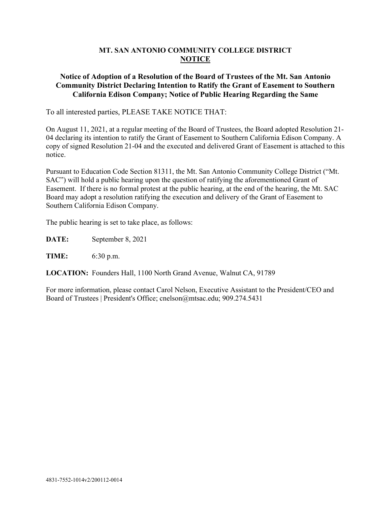## **MT. SAN ANTONIO COMMUNITY COLLEGE DISTRICT NOTICE**

## **Notice of Adoption of a Resolution of the Board of Trustees of the Mt. San Antonio Community District Declaring Intention to Ratify the Grant of Easement to Southern California Edison Company; Notice of Public Hearing Regarding the Same**

To all interested parties, PLEASE TAKE NOTICE THAT:

On August 11, 2021, at a regular meeting of the Board of Trustees, the Board adopted Resolution 21- 04 declaring its intention to ratify the Grant of Easement to Southern California Edison Company. A copy of signed Resolution 21-04 and the executed and delivered Grant of Easement is attached to this notice.

Pursuant to Education Code Section 81311, the Mt. San Antonio Community College District ("Mt. SAC") will hold a public hearing upon the question of ratifying the aforementioned Grant of Easement. If there is no formal protest at the public hearing, at the end of the hearing, the Mt. SAC Board may adopt a resolution ratifying the execution and delivery of the Grant of Easement to Southern California Edison Company.

The public hearing is set to take place, as follows:

**DATE:** September 8, 2021

**TIME:** 6:30 p.m.

**LOCATION:** Founders Hall, 1100 North Grand Avenue, Walnut CA, 91789

For more information, please contact Carol Nelson, Executive Assistant to the President/CEO and Board of Trustees | President's Office; [cnelson@mtsac.edu;](mailto:cnelson@mtsac.edu) [909.274.5431](tel:909.274.5431)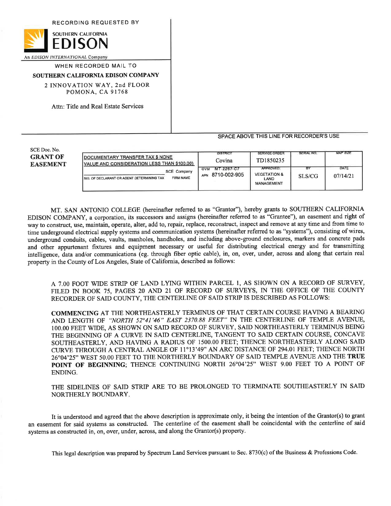RECORDING REQUESTED BY



An EDISON INTERNATIONAL Company

WHEN RECORDED MAIL TO

## SOUTHERN CALIFORNIA EDISON COMPANY

2 INNOVATION WAY, 2nd FLOOR POMONA, CA 91768

Attn: Title and Real Estate Services

## SPACE ABOVE THIS LINE FOR RECORDER'S USE

SCE Doc. No. **GRANT OF EASEMENT** 

| DOCUMENTARY TRANSFER TAX \$ NONE<br>VALUE AND CONSIDERATION LESS THAN \$100.00)        | <b>DISTRICT</b><br>Covina                    | <b>SERVICE ORDER</b><br>TD1850235                                 | SERIAL NO.   | MAP SIZE         |
|----------------------------------------------------------------------------------------|----------------------------------------------|-------------------------------------------------------------------|--------------|------------------|
| <b>SCE Company</b><br><b>FIRM NAME</b><br>I SIG. OF DECLARANT OR AGENT DETERMINING TAX | MT-2267-C7<br><b>GVM</b><br>APN 8710-002-905 | <b>APPROVED:</b><br><b>VEGETATION &amp;</b><br>LAND<br>MANAGEMENT | В۲<br>SLS/CG | DATE<br>07/14/21 |

MT. SAN ANTONIO COLLEGE (hereinafter referred to as "Grantor"), hereby grants to SOUTHERN CALIFORNIA EDISON COMPANY, a corporation, its successors and assigns (hereinafter referred to as "Grantee"), an easement and right of way to construct, use, maintain, operate, alter, add to, repair, replace, reconstruct, inspect and remove at any time and from time to time underground electrical supply systems and communication systems (hereinafter referred to as "systems"), consisting of wires, underground conduits, cables, vaults, manholes, handholes, and including above-ground enclosures, markers and concrete pads and other appurtenant fixtures and equipment necessary or useful for distributing electrical energy and for transmitting intelligence, data and/or communications (eg. through fiber optic cable), in, on, over, under, across and along that certain real property in the County of Los Angeles, State of California, described as follows:

A 7.00 FOOT WIDE STRIP OF LAND LYING WITHIN PARCEL 1, AS SHOWN ON A RECORD OF SURVEY, FILED IN BOOK 75, PAGES 20 AND 21 OF RECORD OF SURVEYS, IN THE OFFICE OF THE COUNTY RECORDER OF SAID COUNTY, THE CENTERLINE OF SAID STRIP IS DESCRIBED AS FOLLOWS:

**COMMENCING AT THE NORTHEASTERLY TERMINUS OF THAT CERTAIN COURSE HAVING A BEARING** AND LENGTH OF "NORTH 52°41'46" EAST 2370.88 FEET" IN THE CENTERLINE OF TEMPLE AVENUE, 100.00 FEET WIDE, AS SHOWN ON SAID RECORD OF SURVEY, SAID NORTHEASTERLY TERMINUS BEING THE BEGINNING OF A CURVE IN SAID CENTERLINE, TANGENT TO SAID CERTAIN COURSE, CONCAVE SOUTHEASTERLY, AND HAVING A RADIUS OF 1500.00 FEET; THENCE NORTHEASTERLY ALONG SAID CURVE THROUGH A CENTRAL ANGLE OF 11°13'49" AN ARC DISTANCE OF 294.01 FEET; THENCE NORTH 26°04'25" WEST 50.00 FEET TO THE NORTHERLY BOUNDARY OF SAID TEMPLE AVENUE AND THE TRUE POINT OF BEGINNING; THENCE CONTINUING NORTH 26°04'25" WEST 9.00 FEET TO A POINT OF ENDING.

THE SIDELINES OF SAID STRIP ARE TO BE PROLONGED TO TERMINATE SOUTHEASTERLY IN SAID NORTHERLY BOUNDARY.

It is understood and agreed that the above description is approximate only, it being the intention of the Grantor(s) to grant an easement for said systems as constructed. The centerline of the easement shall be coincidental with the centerline of said systems as constructed in, on, over, under, across, and along the Grantor(s) property.

This legal description was prepared by Spectrum Land Services pursuant to Sec. 8730(c) of the Business & Professions Code.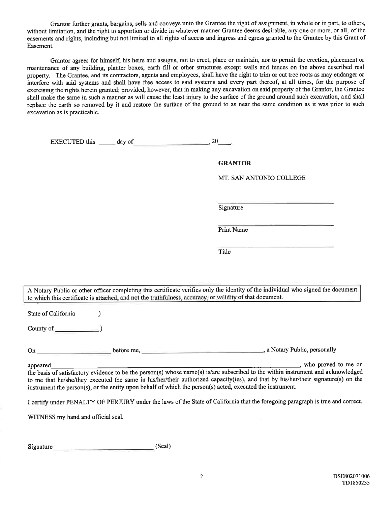Grantor further grants, bargains, sells and conveys unto the Grantee the right of assignment, in whole or in part, to others, without limitation, and the right to apportion or divide in whatever manner Grantee deems desirable, any one or more, or all, of the easements and rights, including but not limited to all rights of access and ingress and egress granted to the Grantee by this Grant of Easement.

Grantor agrees for himself, his heirs and assigns, not to erect, place or maintain, nor to permit the erection, placement or maintenance of any building, planter boxes, earth fill or other structures except walls and fences on the above described real property. The Grantee, and its contractors, agents and employees, shall have the right to trim or cut tree roots as may endanger or interfere with said systems and shall have free access to said systems and every part thereof, at all times, for the purpose of exercising the rights herein granted; provided, however, that in making any excavation on said property of the Grantor, the Grantee shall make the same in such a manner as will cause the least injury to the surface of the ground around such excavation, and shall replace the earth so removed by it and restore the surface of the ground to as near the same condition as it was prior to such excavation as is practicable.

EXECUTED this day of  $\frac{1}{2}$ , 20  $\frac{1}{2}$ 

**GRANTOR** 

MT. SAN ANTONIO COLLEGE

Signature

Print Name

Title

A Notary Public or other officer completing this certificate verifies only the identity of the individual who signed the document to which this certificate is attached, and not the truthfulness, accuracy, or validity of that document.

State of California

County of  $\qquad \qquad$  (

appeared

the basis of satisfactory evidence to be the person(s) whose name(s) is/are subscribed to the within instrument and acknowledged to me that he/she/they executed the same in his/her/their authorized capacity(ies), and that by his/her/their signature(s) on the instrument the person(s), or the entity upon behalf of which the person(s) acted, executed the instrument.

I certify under PENALTY OF PERJURY under the laws of the State of California that the foregoing paragraph is true and correct.

WITNESS my hand and official seal.

Signature (Seal)

 $\lambda$ 

\_, who proved to me on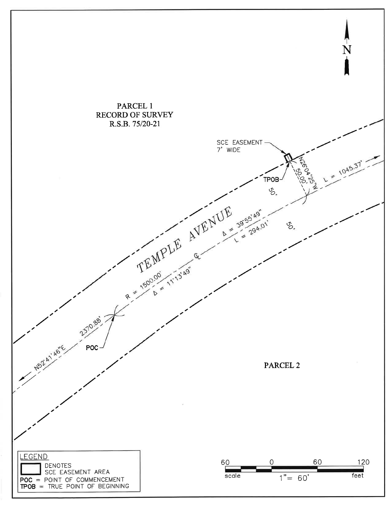